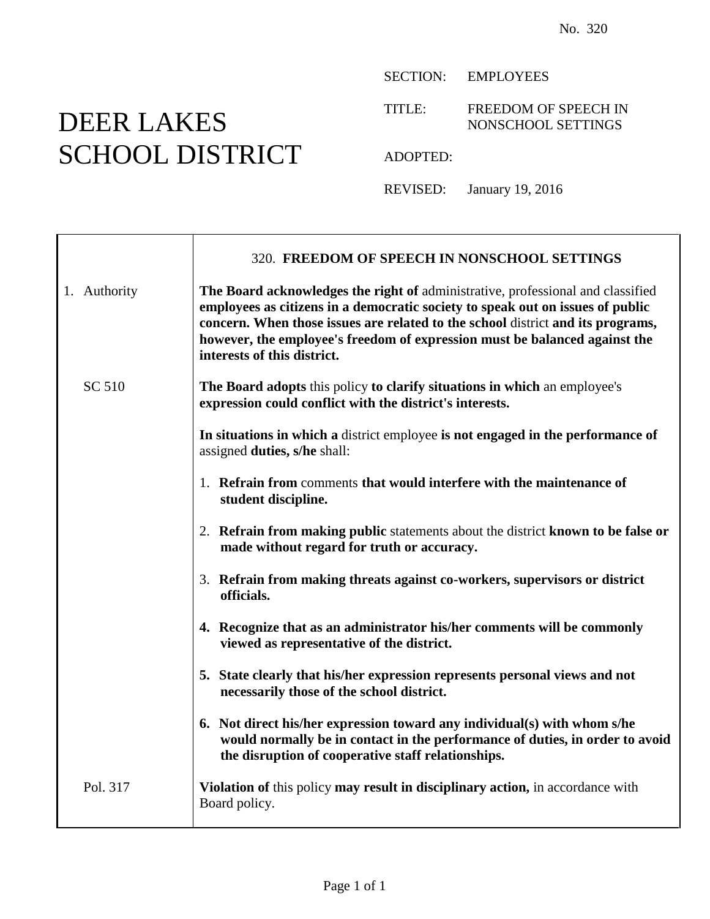## DEER LAKES SCHOOL DISTRICT

SECTION: EMPLOYEES

TITLE: FREEDOM OF SPEECH IN NONSCHOOL SETTINGS

ADOPTED:

REVISED: January 19, 2016

|              | 320. FREEDOM OF SPEECH IN NONSCHOOL SETTINGS                                                                                                                                                                                                                                                                                                                      |
|--------------|-------------------------------------------------------------------------------------------------------------------------------------------------------------------------------------------------------------------------------------------------------------------------------------------------------------------------------------------------------------------|
| 1. Authority | The Board acknowledges the right of administrative, professional and classified<br>employees as citizens in a democratic society to speak out on issues of public<br>concern. When those issues are related to the school district and its programs,<br>however, the employee's freedom of expression must be balanced against the<br>interests of this district. |
| SC 510       | The Board adopts this policy to clarify situations in which an employee's<br>expression could conflict with the district's interests.                                                                                                                                                                                                                             |
|              | In situations in which a district employee is not engaged in the performance of<br>assigned duties, s/he shall:                                                                                                                                                                                                                                                   |
|              | 1. Refrain from comments that would interfere with the maintenance of<br>student discipline.                                                                                                                                                                                                                                                                      |
|              | 2. Refrain from making public statements about the district known to be false or<br>made without regard for truth or accuracy.                                                                                                                                                                                                                                    |
|              | 3. Refrain from making threats against co-workers, supervisors or district<br>officials.                                                                                                                                                                                                                                                                          |
|              | 4. Recognize that as an administrator his/her comments will be commonly<br>viewed as representative of the district.                                                                                                                                                                                                                                              |
|              | 5. State clearly that his/her expression represents personal views and not<br>necessarily those of the school district.                                                                                                                                                                                                                                           |
|              | 6. Not direct his/her expression toward any individual(s) with whom s/he<br>would normally be in contact in the performance of duties, in order to avoid<br>the disruption of cooperative staff relationships.                                                                                                                                                    |
| Pol. 317     | Violation of this policy may result in disciplinary action, in accordance with<br>Board policy.                                                                                                                                                                                                                                                                   |